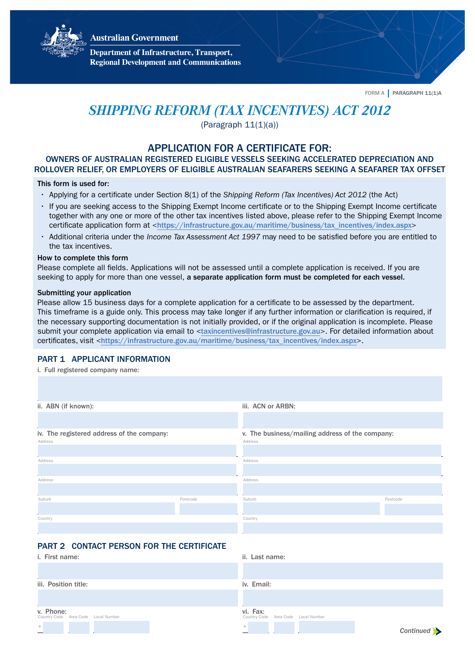**Australian Government** 



**Department of Infrastructure, Transport, Regional Development and Communications** 

FORM A | PARAGRAPH 11(1)A

# *SHIPPING REFORM (TAX INCENTIVES) ACT 2012*

(Paragraph  $11(1)(a)$ )

## APPLICATION FOR A CERTIFICATE FOR:

## OWNERS OF AUSTRALIAN REGISTERED ELIGIBLE VESSELS SEEKING ACCELERATED DEPRECIATION AND ROLLOVER RELIEF, OR EMPLOYERS OF ELIGIBLE AUSTRALIAN SEAFARERS SEEKING A SEAFARER TAX OFFSET

## This form is used for:

- Applying for a certificate under Section 8(1) of the *Shipping Reform (Tax Incentives) Act 2012* (the Act)
- If you are seeking access to the Shipping Exempt Income certificate or to the Shipping Exempt Income certificate together with any one or more of the other tax incentives listed above, please refer to the Shipping Exempt Income certificate application form at <[https://infrastructure.gov.au/maritime/business/tax\\_incentives/index.aspx](https://infrastructure.gov.au/maritime/business/tax_incentives/index.aspx)>
- Additional criteria under the *Income Tax Assessment Act 1997* may need to be satisfied before you are entitled to the tax incentives.

#### How to complete this form

Please complete all fields. Applications will not be assessed until a complete application is received. If you are seeking to apply for more than one vessel, a separate application form must be completed for each vessel.

#### Submitting your application

Please allow 15 business days for a complete application for a certificate to be assessed by the department. This timeframe is a guide only. This process may take longer if any further information or clarification is required, if the necessary supporting documentation is not initially provided, or if the original application is incomplete. Please submit your complete application via email to <[taxincentives@infrastructure.gov.au](mailto:taxincentives@infrastructure.gov.au)>. For detailed information about certificates, visit <[https://infrastructure.gov.au/maritime/business/tax\\_incentives/index.aspx](https://infrastructure.gov.au/maritime/business/tax_incentives/index.aspx)>.

## PART 1 APPLICANT INFORMATION

i. Full registered company name:

| ii. ABN (if known):                        |          | iii. ACN or ARBN:                               |          |  |
|--------------------------------------------|----------|-------------------------------------------------|----------|--|
|                                            |          |                                                 |          |  |
| iv. The registered address of the company: |          | v. The business/mailing address of the company: |          |  |
| Address                                    |          | Address                                         |          |  |
|                                            |          |                                                 |          |  |
| Address                                    |          | Address                                         |          |  |
|                                            |          |                                                 |          |  |
| Address                                    |          | Address                                         |          |  |
|                                            |          |                                                 |          |  |
| Suburb                                     | Postcode | Suburb                                          | Postcode |  |
|                                            |          |                                                 |          |  |
| Country                                    |          | Country                                         |          |  |
|                                            |          |                                                 |          |  |

## PART 2 CONTACT PERSON FOR THE CERTIFICATE

| <i>i.</i> First name:                            | ii. Last name:                                  |
|--------------------------------------------------|-------------------------------------------------|
|                                                  |                                                 |
| iii. Position title:                             | iv. Email:                                      |
|                                                  |                                                 |
| v. Phone:<br>Country Code Area Code Local Number | vi. Fax:<br>Country Code Area Code Local Number |
| $^+$                                             | $^{+}$<br>Continued >                           |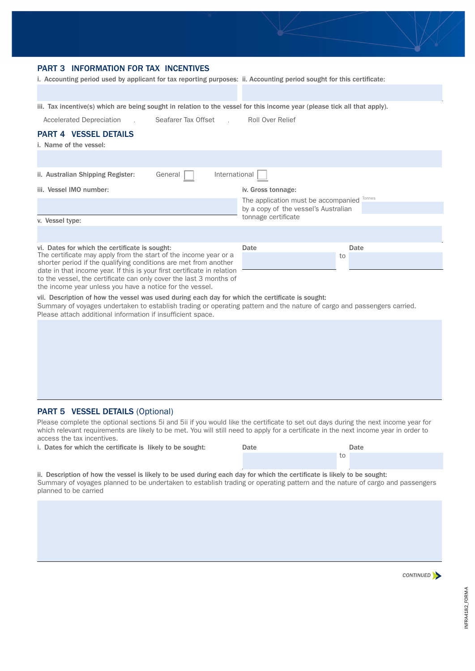

## PART 3 INFORMATION FOR TAX INCENTIVES

i. Accounting period used by applicant for tax reporting purposes: ii. Accounting period sought for this certificate:

iii. Tax incentive(s) which are being sought in relation to the vessel for this income year (please tick all that apply).

Accelerated Depreciation \_\_\_\_\_\_\_\_\_\_ Seafarer Tax Offset \_\_\_\_\_\_\_\_\_\_ Roll Over Relief

to the vessel, the certificate can only cover the last 3 months of the income year unless you have a notice for the vessel.

## PART 4 VESSEL DETAILS

| i. Name of the vessel:                                                                                                               |                                      |        |  |
|--------------------------------------------------------------------------------------------------------------------------------------|--------------------------------------|--------|--|
|                                                                                                                                      |                                      |        |  |
| International<br>General<br>ii. Australian Shipping Register:                                                                        |                                      |        |  |
| iii. Vessel IMO number:                                                                                                              | iv. Gross tonnage:                   |        |  |
|                                                                                                                                      | The application must be accompanied  | Tonnes |  |
|                                                                                                                                      | by a copy of the vessel's Australian |        |  |
| v. Vessel type:                                                                                                                      | tonnage certificate                  |        |  |
|                                                                                                                                      |                                      |        |  |
| vi. Dates for which the certificate is sought:                                                                                       | Date                                 | Date   |  |
| The certificate may apply from the start of the income year or a<br>shorter period if the qualifying conditions are met from another |                                      | to     |  |
| date in that income year. If this is your first certificate in relation                                                              |                                      |        |  |

vii. Description of how the vessel was used during each day for which the certificate is sought: Summary of voyages undertaken to establish trading or operating pattern and the nature of cargo and passengers carried. Please attach additional information if insufficient space.

## PART 5 VESSEL DETAILS (Optional)

Please complete the optional sections 5i and 5ii if you would like the certificate to set out days during the next income year for which relevant requirements are likely to be met. You will still need to apply for a certificate in the next income year in order to access the tax incentives.

| i. Dates for which the certificate is likely to be sought: | Date | Date |
|------------------------------------------------------------|------|------|
|                                                            |      |      |

ii. Description of how the vessel is likely to be used during each day for which the certificate is likely to be sought: Summary of voyages planned to be undertaken to establish trading or operating pattern and the nature of cargo and passengers planned to be carried

*CONTINUED*